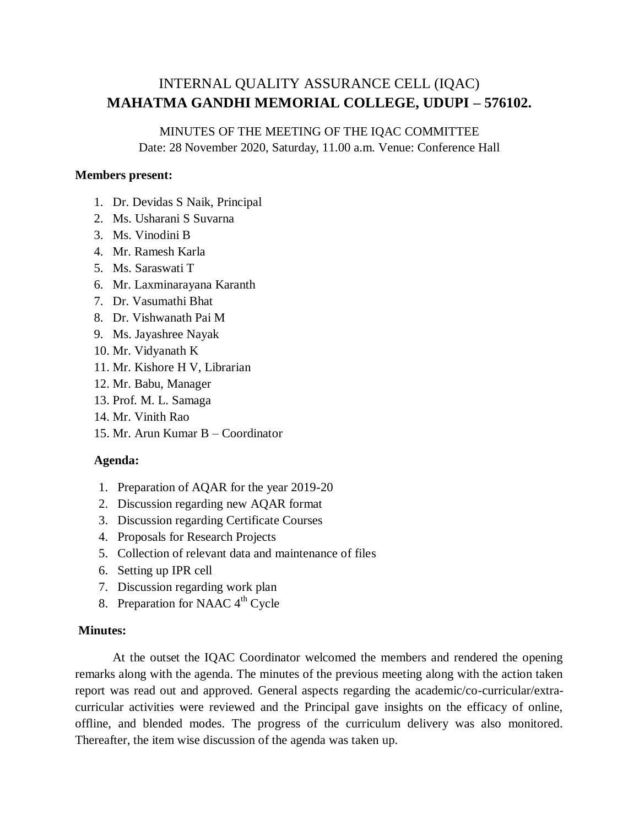#### MINUTES OF THE MEETING OF THE IQAC COMMITTEE

Date: 28 November 2020, Saturday, 11.00 a.m. Venue: Conference Hall

### **Members present:**

- 1. Dr. Devidas S Naik, Principal
- 2. Ms. Usharani S Suvarna
- 3. Ms. Vinodini B
- 4. Mr. Ramesh Karla
- 5. Ms. Saraswati T
- 6. Mr. Laxminarayana Karanth
- 7. Dr. Vasumathi Bhat
- 8. Dr. Vishwanath Pai M
- 9. Ms. Jayashree Nayak
- 10. Mr. Vidyanath K
- 11. Mr. Kishore H V, Librarian
- 12. Mr. Babu, Manager
- 13. Prof. M. L. Samaga
- 14. Mr. Vinith Rao
- 15. Mr. Arun Kumar B Coordinator

### **Agenda:**

- 1. Preparation of AQAR for the year 2019-20
- 2. Discussion regarding new AQAR format
- 3. Discussion regarding Certificate Courses
- 4. Proposals for Research Projects
- 5. Collection of relevant data and maintenance of files
- 6. Setting up IPR cell
- 7. Discussion regarding work plan
- 8. Preparation for NAAC  $4<sup>th</sup>$  Cycle

## **Minutes:**

At the outset the IQAC Coordinator welcomed the members and rendered the opening remarks along with the agenda. The minutes of the previous meeting along with the action taken report was read out and approved. General aspects regarding the academic/co-curricular/extracurricular activities were reviewed and the Principal gave insights on the efficacy of online, offline, and blended modes. The progress of the curriculum delivery was also monitored. Thereafter, the item wise discussion of the agenda was taken up.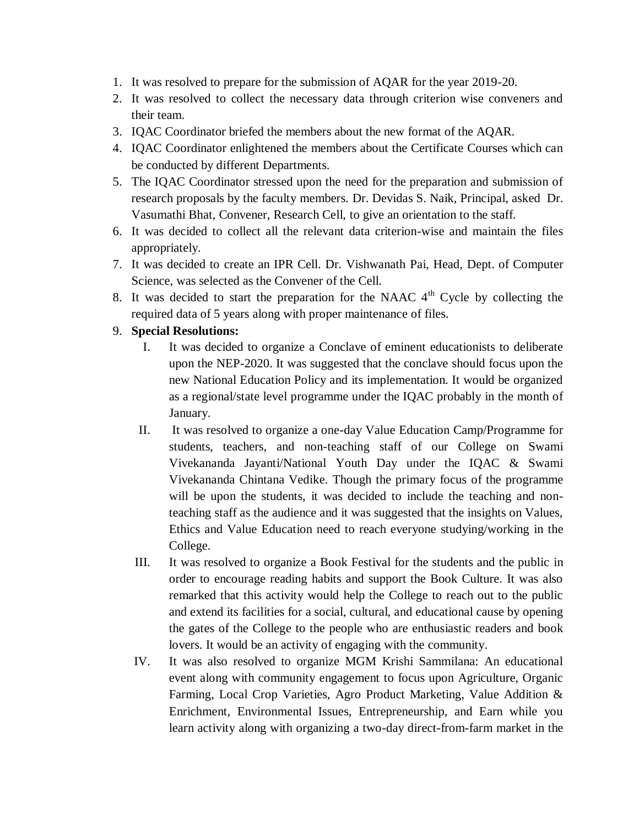- 1. It was resolved to prepare for the submission of AQAR for the year 2019-20.
- 2. It was resolved to collect the necessary data through criterion wise conveners and their team.
- 3. IQAC Coordinator briefed the members about the new format of the AQAR.
- 4. IQAC Coordinator enlightened the members about the Certificate Courses which can be conducted by different Departments.
- 5. The IQAC Coordinator stressed upon the need for the preparation and submission of research proposals by the faculty members. Dr. Devidas S. Naik, Principal, asked Dr. Vasumathi Bhat, Convener, Research Cell, to give an orientation to the staff.
- 6. It was decided to collect all the relevant data criterion-wise and maintain the files appropriately.
- 7. It was decided to create an IPR Cell. Dr. Vishwanath Pai, Head, Dept. of Computer Science, was selected as the Convener of the Cell.
- 8. It was decided to start the preparation for the NAAC  $4<sup>th</sup>$  Cycle by collecting the required data of 5 years along with proper maintenance of files.

#### 9. **Special Resolutions:**

- I. It was decided to organize a Conclave of eminent educationists to deliberate upon the NEP-2020. It was suggested that the conclave should focus upon the new National Education Policy and its implementation. It would be organized as a regional/state level programme under the IQAC probably in the month of January.
- II. It was resolved to organize a one-day Value Education Camp/Programme for students, teachers, and non-teaching staff of our College on Swami Vivekananda Jayanti/National Youth Day under the IQAC & Swami Vivekananda Chintana Vedike. Though the primary focus of the programme will be upon the students, it was decided to include the teaching and nonteaching staff as the audience and it was suggested that the insights on Values, Ethics and Value Education need to reach everyone studying/working in the College.
- III. It was resolved to organize a Book Festival for the students and the public in order to encourage reading habits and support the Book Culture. It was also remarked that this activity would help the College to reach out to the public and extend its facilities for a social, cultural, and educational cause by opening the gates of the College to the people who are enthusiastic readers and book lovers. It would be an activity of engaging with the community.
- IV. It was also resolved to organize MGM Krishi Sammilana: An educational event along with community engagement to focus upon Agriculture, Organic Farming, Local Crop Varieties, Agro Product Marketing, Value Addition & Enrichment, Environmental Issues, Entrepreneurship, and Earn while you learn activity along with organizing a two-day direct-from-farm market in the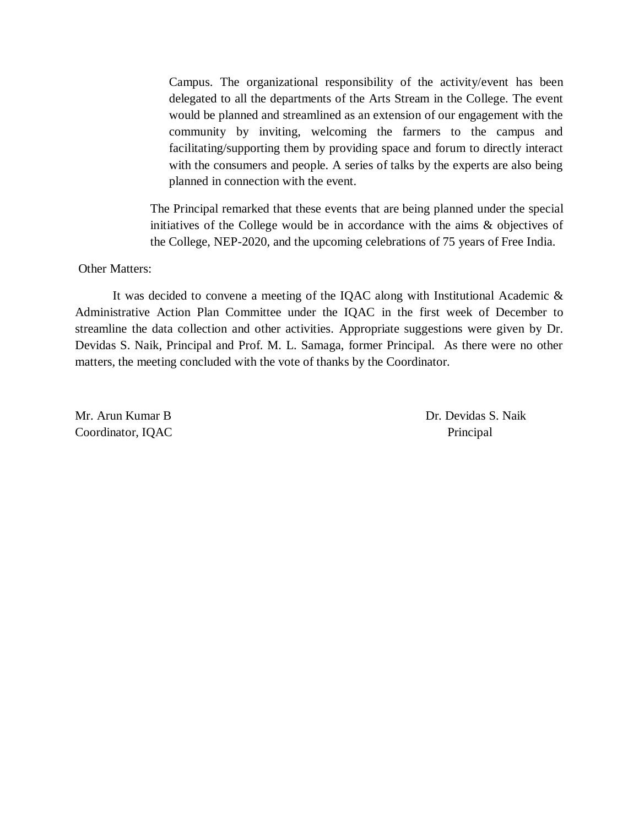Campus. The organizational responsibility of the activity/event has been delegated to all the departments of the Arts Stream in the College. The event would be planned and streamlined as an extension of our engagement with the community by inviting, welcoming the farmers to the campus and facilitating/supporting them by providing space and forum to directly interact with the consumers and people. A series of talks by the experts are also being planned in connection with the event.

The Principal remarked that these events that are being planned under the special initiatives of the College would be in accordance with the aims & objectives of the College, NEP-2020, and the upcoming celebrations of 75 years of Free India.

#### Other Matters:

It was decided to convene a meeting of the IQAC along with Institutional Academic & Administrative Action Plan Committee under the IQAC in the first week of December to streamline the data collection and other activities. Appropriate suggestions were given by Dr. Devidas S. Naik, Principal and Prof. M. L. Samaga, former Principal. As there were no other matters, the meeting concluded with the vote of thanks by the Coordinator.

Mr. Arun Kumar B Dr. Devidas S. Naik Coordinator, IQAC Principal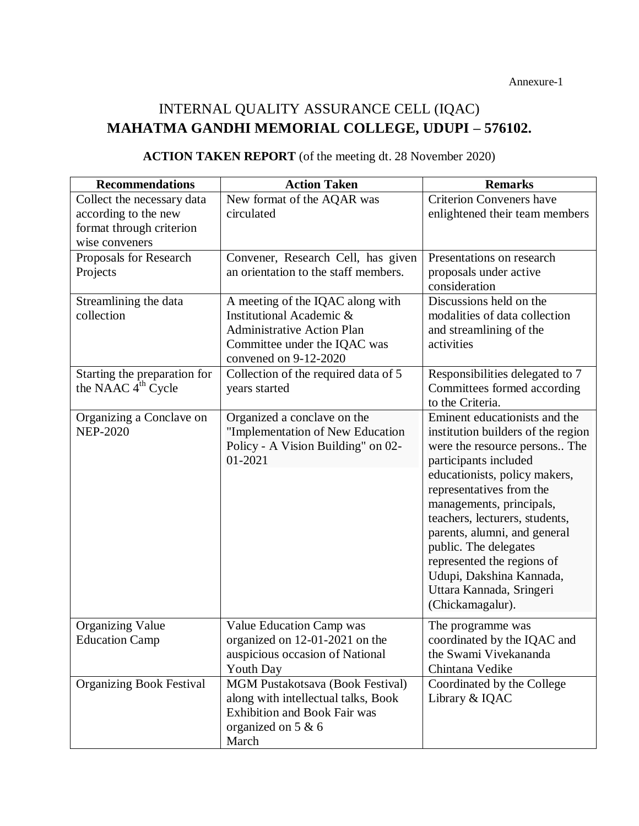| <b>Recommendations</b>                                                                           | <b>Action Taken</b>                                                                                                                                          | <b>Remarks</b>                                                                                                                                                                                                                                                                                                                                                                                                              |
|--------------------------------------------------------------------------------------------------|--------------------------------------------------------------------------------------------------------------------------------------------------------------|-----------------------------------------------------------------------------------------------------------------------------------------------------------------------------------------------------------------------------------------------------------------------------------------------------------------------------------------------------------------------------------------------------------------------------|
| Collect the necessary data<br>according to the new<br>format through criterion<br>wise conveners | New format of the AQAR was<br>circulated                                                                                                                     | <b>Criterion Conveners have</b><br>enlightened their team members                                                                                                                                                                                                                                                                                                                                                           |
| Proposals for Research<br>Projects                                                               | Convener, Research Cell, has given<br>an orientation to the staff members.                                                                                   | Presentations on research<br>proposals under active<br>consideration                                                                                                                                                                                                                                                                                                                                                        |
| Streamlining the data<br>collection                                                              | A meeting of the IQAC along with<br>Institutional Academic &<br><b>Administrative Action Plan</b><br>Committee under the IQAC was<br>convened on $9-12-2020$ | Discussions held on the<br>modalities of data collection<br>and streamlining of the<br>activities                                                                                                                                                                                                                                                                                                                           |
| Starting the preparation for<br>the NAAC 4 <sup>th</sup> Cycle                                   | Collection of the required data of 5<br>years started                                                                                                        | Responsibilities delegated to 7<br>Committees formed according<br>to the Criteria.                                                                                                                                                                                                                                                                                                                                          |
| Organizing a Conclave on<br><b>NEP-2020</b>                                                      | Organized a conclave on the<br>"Implementation of New Education<br>Policy - A Vision Building" on 02-<br>01-2021                                             | Eminent educationists and the<br>institution builders of the region<br>were the resource persons The<br>participants included<br>educationists, policy makers,<br>representatives from the<br>managements, principals,<br>teachers, lecturers, students,<br>parents, alumni, and general<br>public. The delegates<br>represented the regions of<br>Udupi, Dakshina Kannada,<br>Uttara Kannada, Sringeri<br>(Chickamagalur). |
| <b>Organizing Value</b><br><b>Education Camp</b>                                                 | Value Education Camp was<br>organized on 12-01-2021 on the<br>auspicious occasion of National<br><b>Youth Day</b>                                            | The programme was<br>coordinated by the IQAC and<br>the Swami Vivekananda<br>Chintana Vedike                                                                                                                                                                                                                                                                                                                                |
| <b>Organizing Book Festival</b>                                                                  | <b>MGM Pustakotsava (Book Festival)</b><br>along with intellectual talks, Book<br><b>Exhibition and Book Fair was</b><br>organized on 5 & 6<br>March         | Coordinated by the College<br>Library & IQAC                                                                                                                                                                                                                                                                                                                                                                                |

# **ACTION TAKEN REPORT** (of the meeting dt. 28 November 2020)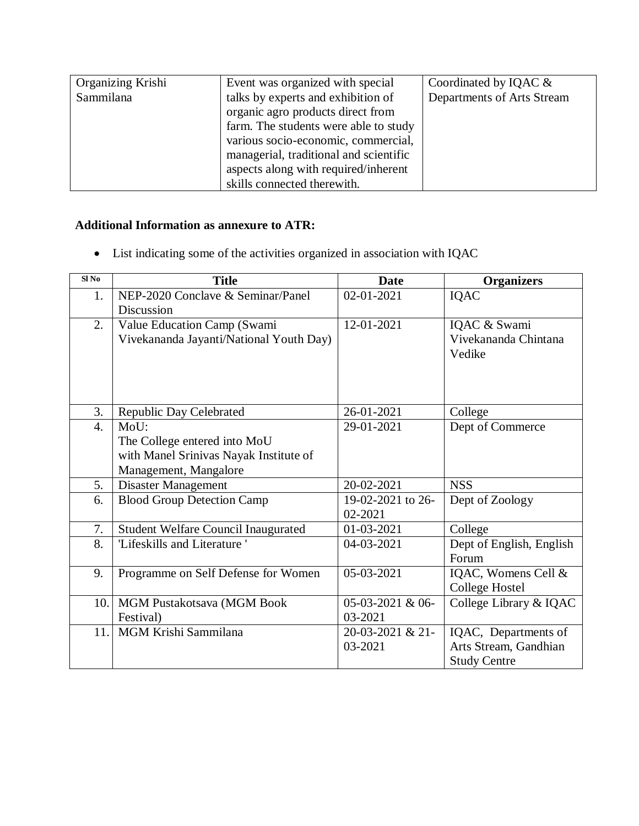| Organizing Krishi | Event was organized with special       | Coordinated by IQAC $\&$   |
|-------------------|----------------------------------------|----------------------------|
| Sammilana         | talks by experts and exhibition of     | Departments of Arts Stream |
|                   | organic agro products direct from      |                            |
|                   | farm. The students were able to study  |                            |
|                   | various socio-economic, commercial,    |                            |
|                   | managerial, traditional and scientific |                            |
|                   | aspects along with required/inherent   |                            |
|                   | skills connected therewith.            |                            |

## **Additional Information as annexure to ATR:**

List indicating some of the activities organized in association with IQAC

| Sl <sub>No</sub> | <b>Title</b>                                    | <b>Date</b>        | <b>Organizers</b>        |
|------------------|-------------------------------------------------|--------------------|--------------------------|
| 1.               | NEP-2020 Conclave & Seminar/Panel<br>Discussion | 02-01-2021         | IQAC                     |
|                  |                                                 |                    |                          |
| 2.               | Value Education Camp (Swami                     | 12-01-2021         | IQAC & Swami             |
|                  | Vivekananda Jayanti/National Youth Day)         |                    | Vivekananda Chintana     |
|                  |                                                 |                    | Vedike                   |
|                  |                                                 |                    |                          |
|                  |                                                 |                    |                          |
|                  |                                                 |                    |                          |
| 3.               | Republic Day Celebrated                         | 26-01-2021         | College                  |
| $\overline{4}$ . | MoU:                                            | 29-01-2021         | Dept of Commerce         |
|                  | The College entered into MoU                    |                    |                          |
|                  | with Manel Srinivas Nayak Institute of          |                    |                          |
|                  | Management, Mangalore                           |                    |                          |
| 5.               | <b>Disaster Management</b>                      | 20-02-2021         | <b>NSS</b>               |
| 6.               | <b>Blood Group Detection Camp</b>               | 19-02-2021 to 26-  | Dept of Zoology          |
|                  |                                                 | 02-2021            |                          |
| 7.               | <b>Student Welfare Council Inaugurated</b>      | 01-03-2021         | College                  |
| 8.               | 'Lifeskills and Literature'                     | 04-03-2021         | Dept of English, English |
|                  |                                                 |                    | Forum                    |
| 9.               | Programme on Self Defense for Women             | 05-03-2021         | IQAC, Womens Cell &      |
|                  |                                                 |                    | College Hostel           |
| 10.              | MGM Pustakotsava (MGM Book                      | $05-03-2021$ & 06- | College Library & IQAC   |
|                  | Festival)                                       | 03-2021            |                          |
| 11.              | MGM Krishi Sammilana                            | $20-03-2021$ & 21- | IQAC, Departments of     |
|                  |                                                 | 03-2021            | Arts Stream, Gandhian    |
|                  |                                                 |                    | <b>Study Centre</b>      |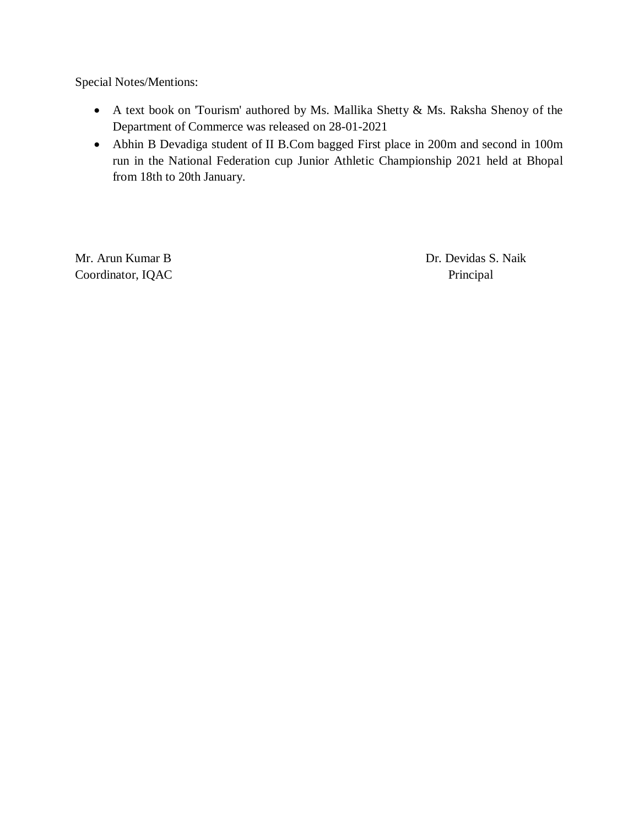Special Notes/Mentions:

- A text book on 'Tourism' authored by Ms. Mallika Shetty & Ms. Raksha Shenoy of the Department of Commerce was released on 28-01-2021
- Abhin B Devadiga student of II B.Com bagged First place in 200m and second in 100m run in the National Federation cup Junior Athletic Championship 2021 held at Bhopal from 18th to 20th January.

Coordinator, IQAC Principal

Mr. Arun Kumar B Dr. Devidas S. Naik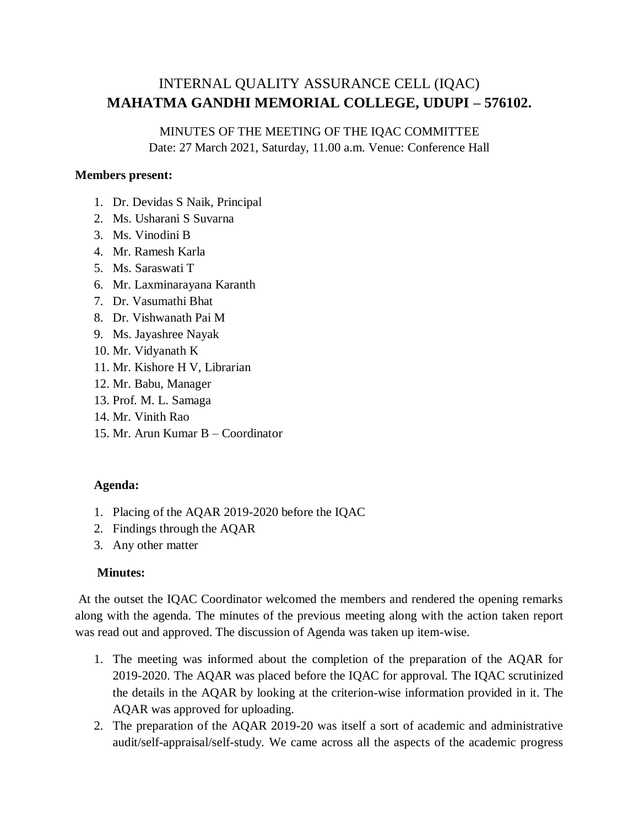# MINUTES OF THE MEETING OF THE IQAC COMMITTEE

Date: 27 March 2021, Saturday, 11.00 a.m. Venue: Conference Hall

#### **Members present:**

- 1. Dr. Devidas S Naik, Principal
- 2. Ms. Usharani S Suvarna
- 3. Ms. Vinodini B
- 4. Mr. Ramesh Karla
- 5. Ms. Saraswati T
- 6. Mr. Laxminarayana Karanth
- 7. Dr. Vasumathi Bhat
- 8. Dr. Vishwanath Pai M
- 9. Ms. Jayashree Nayak
- 10. Mr. Vidyanath K
- 11. Mr. Kishore H V, Librarian
- 12. Mr. Babu, Manager
- 13. Prof. M. L. Samaga
- 14. Mr. Vinith Rao
- 15. Mr. Arun Kumar B Coordinator

### **Agenda:**

- 1. Placing of the AQAR 2019-2020 before the IQAC
- 2. Findings through the AQAR
- 3. Any other matter

#### **Minutes:**

At the outset the IQAC Coordinator welcomed the members and rendered the opening remarks along with the agenda. The minutes of the previous meeting along with the action taken report was read out and approved. The discussion of Agenda was taken up item-wise.

- 1. The meeting was informed about the completion of the preparation of the AQAR for 2019-2020. The AQAR was placed before the IQAC for approval. The IQAC scrutinized the details in the AQAR by looking at the criterion-wise information provided in it. The AQAR was approved for uploading.
- 2. The preparation of the AQAR 2019-20 was itself a sort of academic and administrative audit/self-appraisal/self-study. We came across all the aspects of the academic progress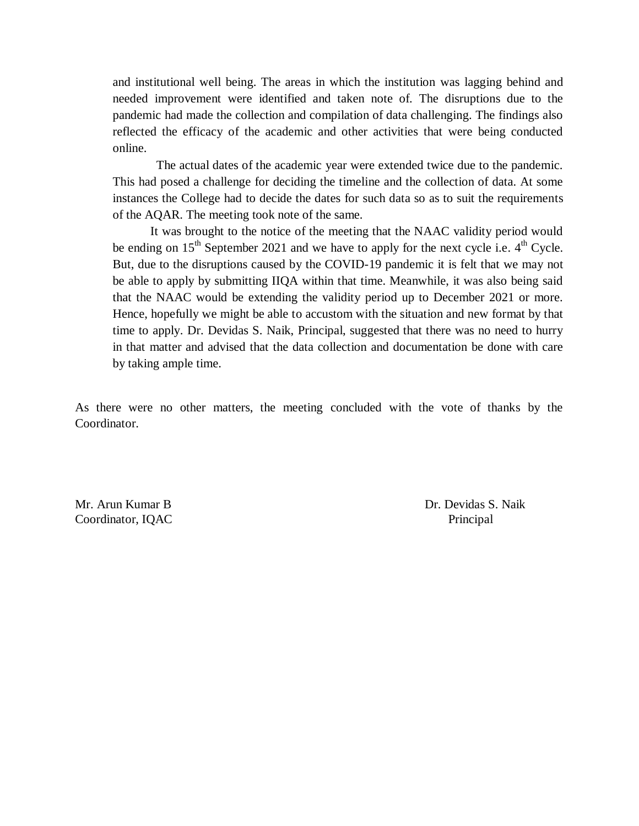and institutional well being. The areas in which the institution was lagging behind and needed improvement were identified and taken note of. The disruptions due to the pandemic had made the collection and compilation of data challenging. The findings also reflected the efficacy of the academic and other activities that were being conducted online.

 The actual dates of the academic year were extended twice due to the pandemic. This had posed a challenge for deciding the timeline and the collection of data. At some instances the College had to decide the dates for such data so as to suit the requirements of the AQAR. The meeting took note of the same.

It was brought to the notice of the meeting that the NAAC validity period would be ending on  $15^{th}$  September 2021 and we have to apply for the next cycle i.e.  $4^{th}$  Cycle. But, due to the disruptions caused by the COVID-19 pandemic it is felt that we may not be able to apply by submitting IIQA within that time. Meanwhile, it was also being said that the NAAC would be extending the validity period up to December 2021 or more. Hence, hopefully we might be able to accustom with the situation and new format by that time to apply. Dr. Devidas S. Naik, Principal, suggested that there was no need to hurry in that matter and advised that the data collection and documentation be done with care by taking ample time.

As there were no other matters, the meeting concluded with the vote of thanks by the Coordinator.

Coordinator, IQAC Principal Principal Principal Principal Principal Principal Principal Principal Principal Principal Principal Principal Principal Principal Principal Principal Principal Principal Principal Principal Prin

Mr. Arun Kumar B Dr. Devidas S. Naik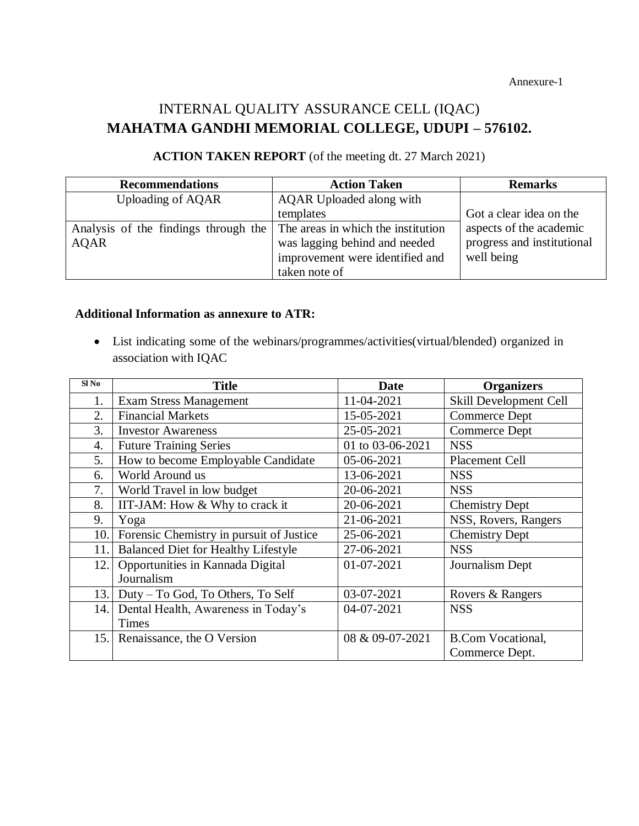Annexure-1

# INTERNAL QUALITY ASSURANCE CELL (IQAC) **MAHATMA GANDHI MEMORIAL COLLEGE, UDUPI – 576102.**

| <b>Recommendations</b>               | <b>Action Taken</b>                | <b>Remarks</b>             |
|--------------------------------------|------------------------------------|----------------------------|
| Uploading of AQAR                    | AQAR Uploaded along with           |                            |
|                                      | templates                          | Got a clear idea on the    |
| Analysis of the findings through the | The areas in which the institution | aspects of the academic    |
| <b>AQAR</b>                          | was lagging behind and needed      | progress and institutional |
|                                      | improvement were identified and    | well being                 |
|                                      | taken note of                      |                            |

## **ACTION TAKEN REPORT** (of the meeting dt. 27 March 2021)

#### **Additional Information as annexure to ATR:**

 List indicating some of the webinars/programmes/activities(virtual/blended) organized in association with IQAC

| SI <sub>No</sub> | <b>Title</b>                               | <b>Date</b>      | <b>Organizers</b>        |
|------------------|--------------------------------------------|------------------|--------------------------|
| 1.               | <b>Exam Stress Management</b>              | 11-04-2021       | Skill Development Cell   |
| 2.               | <b>Financial Markets</b>                   | 15-05-2021       | <b>Commerce Dept</b>     |
| 3.               | <b>Investor Awareness</b>                  | 25-05-2021       | <b>Commerce Dept</b>     |
| 4.               | <b>Future Training Series</b>              | 01 to 03-06-2021 | <b>NSS</b>               |
| 5.               | How to become Employable Candidate         | 05-06-2021       | <b>Placement Cell</b>    |
| 6.               | World Around us                            | 13-06-2021       | <b>NSS</b>               |
| 7.               | World Travel in low budget                 | 20-06-2021       | <b>NSS</b>               |
| 8.               | IIT-JAM: How & Why to crack it             | 20-06-2021       | <b>Chemistry Dept</b>    |
| 9.               | Yoga                                       | 21-06-2021       | NSS, Rovers, Rangers     |
| 10.              | Forensic Chemistry in pursuit of Justice   | 25-06-2021       | <b>Chemistry Dept</b>    |
| 11.              | <b>Balanced Diet for Healthy Lifestyle</b> | 27-06-2021       | <b>NSS</b>               |
| 12.              | Opportunities in Kannada Digital           | 01-07-2021       | Journalism Dept          |
|                  | Journalism                                 |                  |                          |
| 13.              | Duty – To God, To Others, To Self          | 03-07-2021       | Rovers & Rangers         |
| 14.              | Dental Health, Awareness in Today's        | 04-07-2021       | <b>NSS</b>               |
|                  | <b>Times</b>                               |                  |                          |
| 15.              | Renaissance, the O Version                 | 08 & 09-07-2021  | <b>B.Com Vocational,</b> |
|                  |                                            |                  | Commerce Dept.           |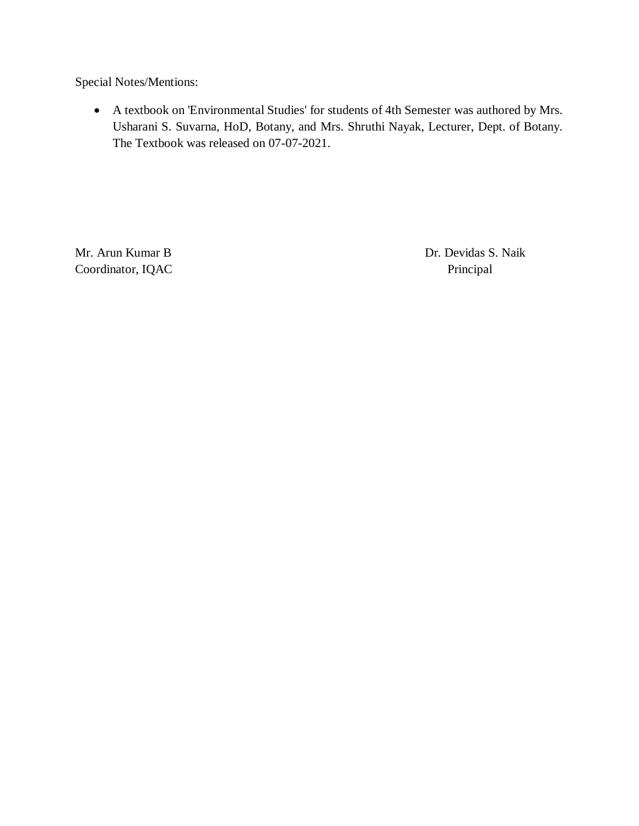Special Notes/Mentions:

 A textbook on 'Environmental Studies' for students of 4th Semester was authored by Mrs. Usharani S. Suvarna, HoD, Botany, and Mrs. Shruthi Nayak, Lecturer, Dept. of Botany. The Textbook was released on 07-07-2021.

Mr. Arun Kumar B Dr. Devidas S. Naik Coordinator, IQAC Principal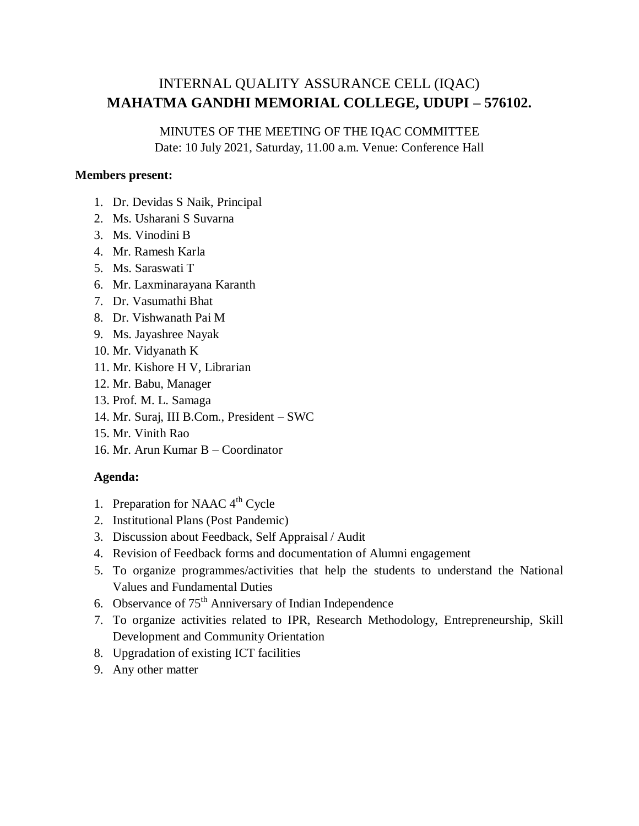## MINUTES OF THE MEETING OF THE IQAC COMMITTEE

Date: 10 July 2021, Saturday, 11.00 a.m. Venue: Conference Hall

#### **Members present:**

- 1. Dr. Devidas S Naik, Principal
- 2. Ms. Usharani S Suvarna
- 3. Ms. Vinodini B
- 4. Mr. Ramesh Karla
- 5. Ms. Saraswati T
- 6. Mr. Laxminarayana Karanth
- 7. Dr. Vasumathi Bhat
- 8. Dr. Vishwanath Pai M
- 9. Ms. Jayashree Nayak
- 10. Mr. Vidyanath K
- 11. Mr. Kishore H V, Librarian
- 12. Mr. Babu, Manager
- 13. Prof. M. L. Samaga
- 14. Mr. Suraj, III B.Com., President SWC
- 15. Mr. Vinith Rao
- 16. Mr. Arun Kumar B Coordinator

#### **Agenda:**

- 1. Preparation for NAAC  $4<sup>th</sup>$  Cycle
- 2. Institutional Plans (Post Pandemic)
- 3. Discussion about Feedback, Self Appraisal / Audit
- 4. Revision of Feedback forms and documentation of Alumni engagement
- 5. To organize programmes/activities that help the students to understand the National Values and Fundamental Duties
- 6. Observance of 75<sup>th</sup> Anniversary of Indian Independence
- 7. To organize activities related to IPR, Research Methodology, Entrepreneurship, Skill Development and Community Orientation
- 8. Upgradation of existing ICT facilities
- 9. Any other matter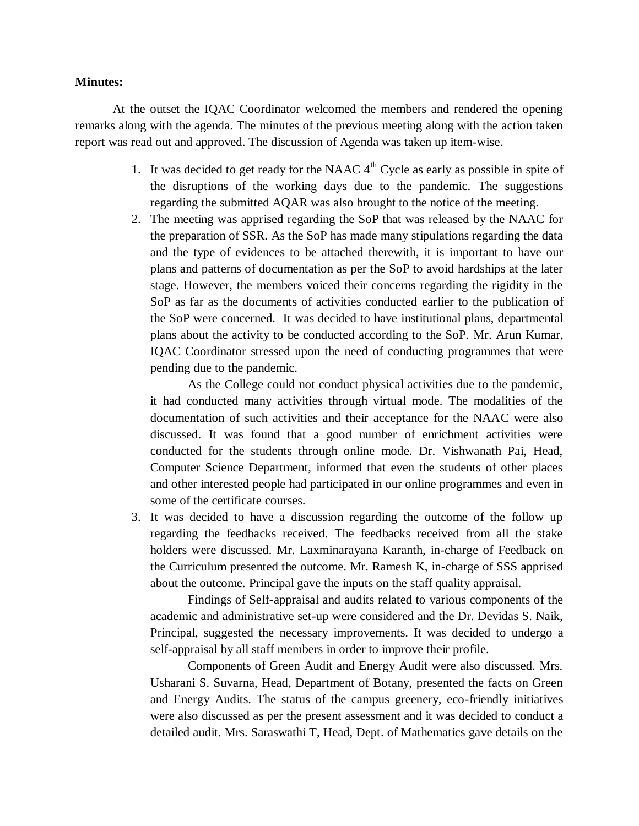#### **Minutes:**

At the outset the IQAC Coordinator welcomed the members and rendered the opening remarks along with the agenda. The minutes of the previous meeting along with the action taken report was read out and approved. The discussion of Agenda was taken up item-wise.

- 1. It was decided to get ready for the NAAC  $4<sup>th</sup>$  Cycle as early as possible in spite of the disruptions of the working days due to the pandemic. The suggestions regarding the submitted AQAR was also brought to the notice of the meeting.
- 2. The meeting was apprised regarding the SoP that was released by the NAAC for the preparation of SSR. As the SoP has made many stipulations regarding the data and the type of evidences to be attached therewith, it is important to have our plans and patterns of documentation as per the SoP to avoid hardships at the later stage. However, the members voiced their concerns regarding the rigidity in the SoP as far as the documents of activities conducted earlier to the publication of the SoP were concerned. It was decided to have institutional plans, departmental plans about the activity to be conducted according to the SoP. Mr. Arun Kumar, IQAC Coordinator stressed upon the need of conducting programmes that were pending due to the pandemic.

As the College could not conduct physical activities due to the pandemic, it had conducted many activities through virtual mode. The modalities of the documentation of such activities and their acceptance for the NAAC were also discussed. It was found that a good number of enrichment activities were conducted for the students through online mode. Dr. Vishwanath Pai, Head, Computer Science Department, informed that even the students of other places and other interested people had participated in our online programmes and even in some of the certificate courses.

3. It was decided to have a discussion regarding the outcome of the follow up regarding the feedbacks received. The feedbacks received from all the stake holders were discussed. Mr. Laxminarayana Karanth, in-charge of Feedback on the Curriculum presented the outcome. Mr. Ramesh K, in-charge of SSS apprised about the outcome. Principal gave the inputs on the staff quality appraisal.

Findings of Self-appraisal and audits related to various components of the academic and administrative set-up were considered and the Dr. Devidas S. Naik, Principal, suggested the necessary improvements. It was decided to undergo a self-appraisal by all staff members in order to improve their profile.

Components of Green Audit and Energy Audit were also discussed. Mrs. Usharani S. Suvarna, Head, Department of Botany, presented the facts on Green and Energy Audits. The status of the campus greenery, eco-friendly initiatives were also discussed as per the present assessment and it was decided to conduct a detailed audit. Mrs. Saraswathi T, Head, Dept. of Mathematics gave details on the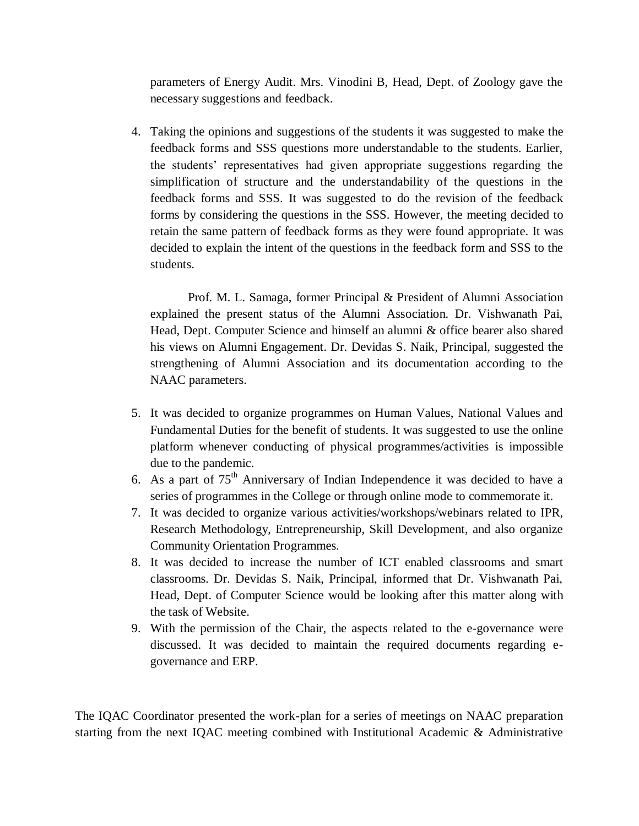parameters of Energy Audit. Mrs. Vinodini B, Head, Dept. of Zoology gave the necessary suggestions and feedback.

4. Taking the opinions and suggestions of the students it was suggested to make the feedback forms and SSS questions more understandable to the students. Earlier, the students' representatives had given appropriate suggestions regarding the simplification of structure and the understandability of the questions in the feedback forms and SSS. It was suggested to do the revision of the feedback forms by considering the questions in the SSS. However, the meeting decided to retain the same pattern of feedback forms as they were found appropriate. It was decided to explain the intent of the questions in the feedback form and SSS to the students.

Prof. M. L. Samaga, former Principal & President of Alumni Association explained the present status of the Alumni Association. Dr. Vishwanath Pai, Head, Dept. Computer Science and himself an alumni & office bearer also shared his views on Alumni Engagement. Dr. Devidas S. Naik, Principal, suggested the strengthening of Alumni Association and its documentation according to the NAAC parameters.

- 5. It was decided to organize programmes on Human Values, National Values and Fundamental Duties for the benefit of students. It was suggested to use the online platform whenever conducting of physical programmes/activities is impossible due to the pandemic.
- 6. As a part of  $75<sup>th</sup>$  Anniversary of Indian Independence it was decided to have a series of programmes in the College or through online mode to commemorate it.
- 7. It was decided to organize various activities/workshops/webinars related to IPR, Research Methodology, Entrepreneurship, Skill Development, and also organize Community Orientation Programmes.
- 8. It was decided to increase the number of ICT enabled classrooms and smart classrooms. Dr. Devidas S. Naik, Principal, informed that Dr. Vishwanath Pai, Head, Dept. of Computer Science would be looking after this matter along with the task of Website.
- 9. With the permission of the Chair, the aspects related to the e-governance were discussed. It was decided to maintain the required documents regarding egovernance and ERP.

The IQAC Coordinator presented the work-plan for a series of meetings on NAAC preparation starting from the next IQAC meeting combined with Institutional Academic & Administrative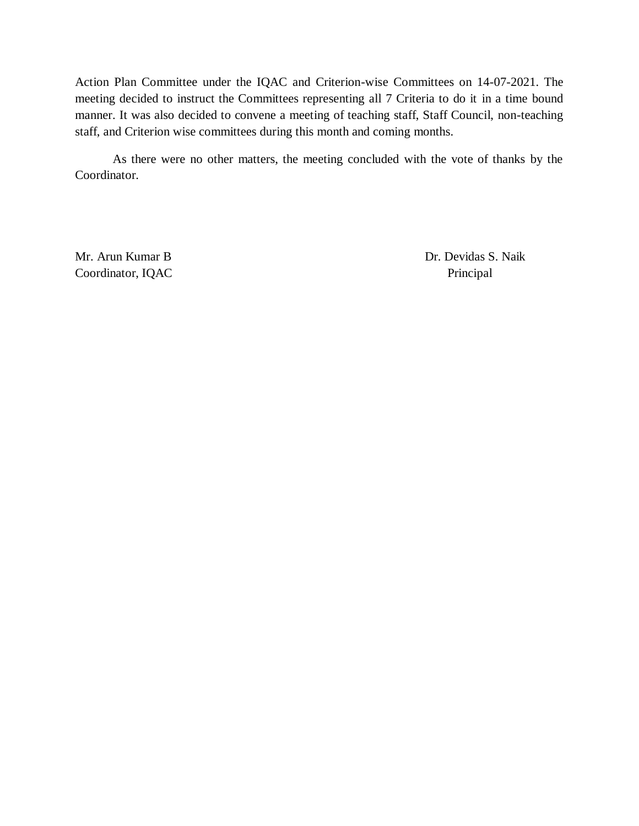Action Plan Committee under the IQAC and Criterion-wise Committees on 14-07-2021. The meeting decided to instruct the Committees representing all 7 Criteria to do it in a time bound manner. It was also decided to convene a meeting of teaching staff, Staff Council, non-teaching staff, and Criterion wise committees during this month and coming months.

As there were no other matters, the meeting concluded with the vote of thanks by the Coordinator.

Coordinator, IQAC Principal

Mr. Arun Kumar B Dr. Devidas S. Naik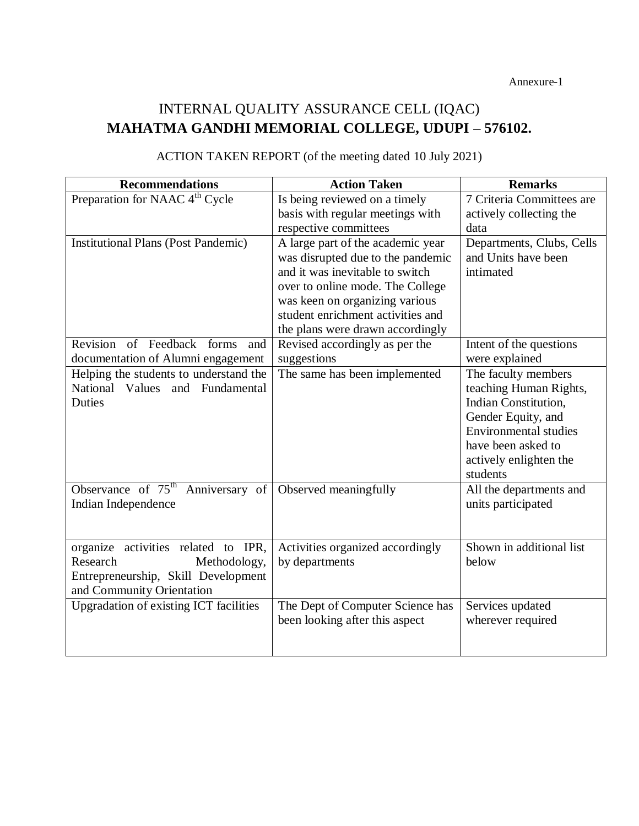Annexure-1

# INTERNAL QUALITY ASSURANCE CELL (IQAC) **MAHATMA GANDHI MEMORIAL COLLEGE, UDUPI – 576102.**

| <b>Recommendations</b>                           | <b>Action Taken</b>               | <b>Remarks</b>            |
|--------------------------------------------------|-----------------------------------|---------------------------|
| Preparation for NAAC 4 <sup>th</sup> Cycle       | Is being reviewed on a timely     | 7 Criteria Committees are |
|                                                  | basis with regular meetings with  | actively collecting the   |
|                                                  | respective committees             | data                      |
| <b>Institutional Plans (Post Pandemic)</b>       | A large part of the academic year | Departments, Clubs, Cells |
|                                                  | was disrupted due to the pandemic | and Units have been       |
|                                                  | and it was inevitable to switch   | intimated                 |
|                                                  | over to online mode. The College  |                           |
|                                                  | was keen on organizing various    |                           |
|                                                  | student enrichment activities and |                           |
|                                                  | the plans were drawn accordingly  |                           |
| Revision of Feedback<br>forms<br>and             | Revised accordingly as per the    | Intent of the questions   |
| documentation of Alumni engagement               | suggestions                       | were explained            |
| Helping the students to understand the           | The same has been implemented     | The faculty members       |
| National Values and Fundamental                  |                                   | teaching Human Rights,    |
| <b>Duties</b>                                    |                                   | Indian Constitution,      |
|                                                  |                                   | Gender Equity, and        |
|                                                  |                                   | Environmental studies     |
|                                                  |                                   | have been asked to        |
|                                                  |                                   | actively enlighten the    |
|                                                  |                                   | students                  |
| Observance of $75^{\text{th}}$<br>Anniversary of | Observed meaningfully             | All the departments and   |
| Indian Independence                              |                                   | units participated        |
|                                                  |                                   |                           |
|                                                  |                                   |                           |
| organize activities related to IPR,              | Activities organized accordingly  | Shown in additional list  |
| Research<br>Methodology,                         | by departments                    | below                     |
| Entrepreneurship, Skill Development              |                                   |                           |
| and Community Orientation                        |                                   |                           |
| Upgradation of existing ICT facilities           | The Dept of Computer Science has  | Services updated          |
|                                                  | been looking after this aspect    | wherever required         |
|                                                  |                                   |                           |
|                                                  |                                   |                           |

# ACTION TAKEN REPORT (of the meeting dated 10 July 2021)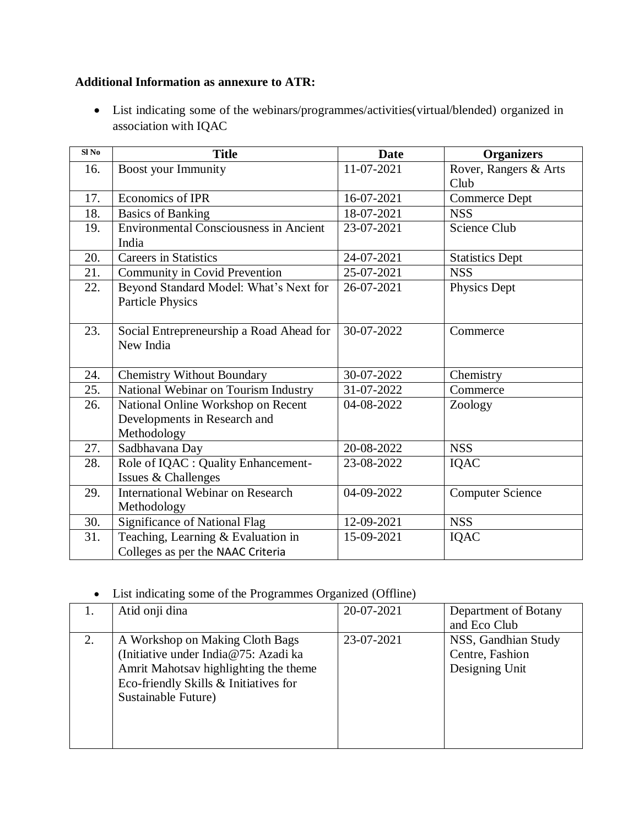## **Additional Information as annexure to ATR:**

 List indicating some of the webinars/programmes/activities(virtual/blended) organized in association with IQAC

| $\overline{\text{SI No}}$ | <b>Title</b>                                  | <b>Date</b> | <b>Organizers</b>       |
|---------------------------|-----------------------------------------------|-------------|-------------------------|
| 16.                       | <b>Boost your Immunity</b>                    | 11-07-2021  | Rover, Rangers & Arts   |
|                           |                                               |             | Club                    |
| 17.                       | Economics of IPR                              | 16-07-2021  | <b>Commerce Dept</b>    |
| 18.                       | <b>Basics of Banking</b>                      | 18-07-2021  | <b>NSS</b>              |
| 19.                       | <b>Environmental Consciousness in Ancient</b> | 23-07-2021  | Science Club            |
|                           | India                                         |             |                         |
| 20.                       | <b>Careers in Statistics</b>                  | 24-07-2021  | <b>Statistics Dept</b>  |
| 21.                       | Community in Covid Prevention                 | 25-07-2021  | <b>NSS</b>              |
| 22.                       | Beyond Standard Model: What's Next for        | 26-07-2021  | Physics Dept            |
|                           | <b>Particle Physics</b>                       |             |                         |
|                           |                                               |             |                         |
| 23.                       | Social Entrepreneurship a Road Ahead for      | 30-07-2022  | Commerce                |
|                           | New India                                     |             |                         |
|                           |                                               |             |                         |
| 24.                       | <b>Chemistry Without Boundary</b>             | 30-07-2022  | Chemistry               |
| 25.                       | National Webinar on Tourism Industry          | 31-07-2022  | Commerce                |
| 26.                       | National Online Workshop on Recent            | 04-08-2022  | Zoology                 |
|                           | Developments in Research and                  |             |                         |
|                           | Methodology                                   |             |                         |
| 27.                       | Sadbhavana Day                                | 20-08-2022  | <b>NSS</b>              |
| 28.                       | Role of IQAC : Quality Enhancement-           | 23-08-2022  | <b>IQAC</b>             |
|                           | Issues & Challenges                           |             |                         |
| 29.                       | <b>International Webinar on Research</b>      | 04-09-2022  | <b>Computer Science</b> |
|                           | Methodology                                   |             |                         |
| 30.                       | <b>Significance of National Flag</b>          | 12-09-2021  | <b>NSS</b>              |
| 31.                       | Teaching, Learning & Evaluation in            | 15-09-2021  | IQAC                    |
|                           | Colleges as per the NAAC Criteria             |             |                         |

## List indicating some of the Programmes Organized (Offline)

|    | Atid onji dina                        | 20-07-2021 | Department of Botany |
|----|---------------------------------------|------------|----------------------|
|    |                                       |            | and Eco Club         |
| 2. | A Workshop on Making Cloth Bags       | 23-07-2021 | NSS, Gandhian Study  |
|    | (Initiative under India@75: Azadi ka  |            | Centre, Fashion      |
|    | Amrit Mahotsav highlighting the theme |            | Designing Unit       |
|    | Eco-friendly Skills & Initiatives for |            |                      |
|    | Sustainable Future)                   |            |                      |
|    |                                       |            |                      |
|    |                                       |            |                      |
|    |                                       |            |                      |